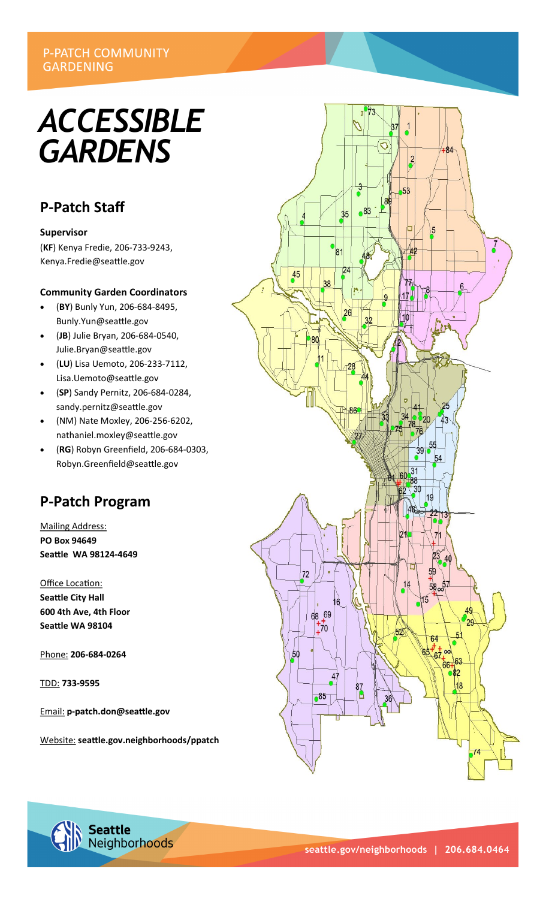## **P-PATCH COMMUNITY GARDENING**

# *ACCESSIBLE GARDENS*

## **P-Patch Staff**

### **Supervisor**

(**KF**) Kenya Fredie, 206-733-9243, Kenya.Fredie@seattle.gov

## **Community Garden Coordinators**

- (**BY**) Bunly Yun, 206-684-8495, Bunly.Yun@seattle.gov
- (**JB**) Julie Bryan, 206-684-0540, Julie.Bryan@seattle.gov
- (**LU**) Lisa Uemoto, 206-233-7112, Lisa.Uemoto@seattle.gov
- (**SP**) Sandy Pernitz, 206-684-0284, sandy.pernitz@seattle.gov
- (NM) Nate Moxley, 206-256-6202, nathaniel.moxley@seattle.gov
- (**RG**) Robyn Greenfield, 206-684-0303, Robyn.Greenfield@seattle.gov

## **P-Patch Program**

Mailing Address: **PO Box 94649 Seattle WA 98124-4649**

Office Location: **Seattle City Hall 600 4th Ave, 4th Floor Seattle WA 98104**

Phone: **206-684-0264**

TDD: **733-9595**

Email: **p-patch.don@seattle.gov**

Website: **seattle.gov.neighborhoods/ppatch**